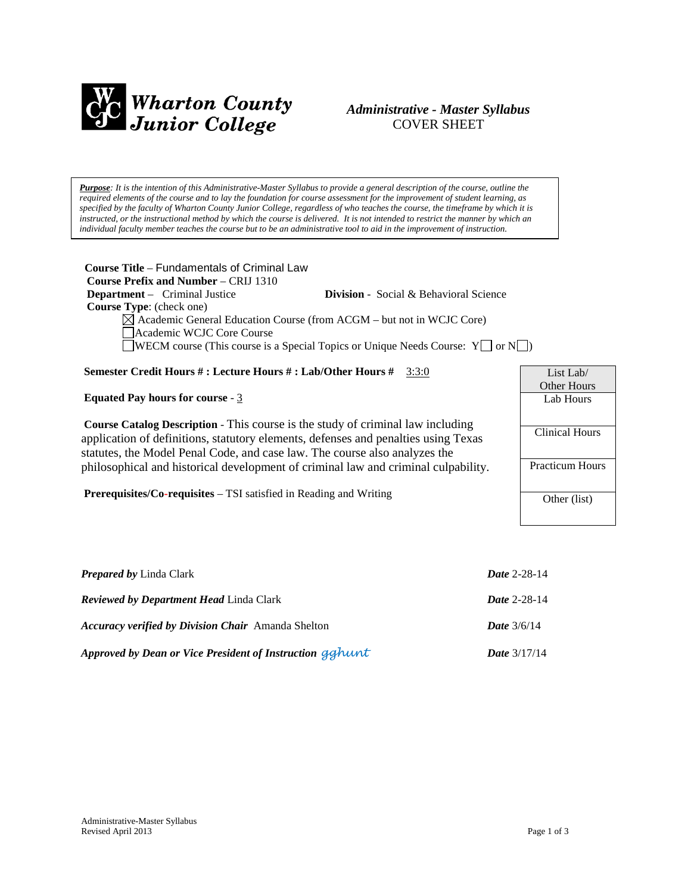

# *Administrative - Master Syllabus*  COVER SHEET

*Purpose: It is the intention of this Administrative-Master Syllabus to provide a general description of the course, outline the required elements of the course and to lay the foundation for course assessment for the improvement of student learning, as specified by the faculty of Wharton County Junior College, regardless of who teaches the course, the timeframe by which it is instructed, or the instructional method by which the course is delivered. It is not intended to restrict the manner by which an individual faculty member teaches the course but to be an administrative tool to aid in the improvement of instruction.*

| Course Title – Fundamentals of Criminal Law<br><b>Course Prefix and Number – CRIJ 1310</b>   |                                               |                    |  |  |
|----------------------------------------------------------------------------------------------|-----------------------------------------------|--------------------|--|--|
| <b>Department</b> – Criminal Justice                                                         | <b>Division</b> - Social & Behavioral Science |                    |  |  |
| Course Type: (check one)                                                                     |                                               |                    |  |  |
| $\boxtimes$ Academic General Education Course (from ACGM – but not in WCJC Core)             |                                               |                    |  |  |
| Academic WCJC Core Course                                                                    |                                               |                    |  |  |
| <b>WECM</b> course (This course is a Special Topics or Unique Needs Course: $Y \cup \{N\}$ ) |                                               |                    |  |  |
|                                                                                              |                                               |                    |  |  |
| Semester Credit Hours #: Lecture Hours #: Lab/Other Hours #                                  | 3:3:0                                         | List Lab/          |  |  |
|                                                                                              |                                               | <b>Other Hours</b> |  |  |
| <b>Equated Pay hours for course - 3</b>                                                      |                                               | Lab Hours          |  |  |
|                                                                                              |                                               |                    |  |  |
| <b>Course Catalog Description - This course is the study of criminal law including</b>       |                                               |                    |  |  |
| application of definitions, statutory elements, defenses and penalties using Texas           | <b>Clinical Hours</b>                         |                    |  |  |
| etatutes, the Model Penal Code, and case law. The course also analyzes the                   |                                               |                    |  |  |

statutes, the Model Penal Code, and case law. The course also analyzes the philosophical and historical development of criminal law and criminal culpability.

**Prerequisites/Co-requisites** – TSI satisfied in Reading and Writing

| Lab Hours              |
|------------------------|
| Clinical Hours         |
| <b>Practicum Hours</b> |
| Other (list)           |

| <b>Prepared by Linda Clark</b>                            | <b>Date 2-28-14</b>   |
|-----------------------------------------------------------|-----------------------|
| <b>Reviewed by Department Head Linda Clark</b>            | <b>Date 2-28-14</b>   |
| <b>Accuracy verified by Division Chair</b> Amanda Shelton | <b>Date</b> $3/6/14$  |
| Approved by Dean or Vice President of Instruction gghunt  | <i>Date</i> $3/17/14$ |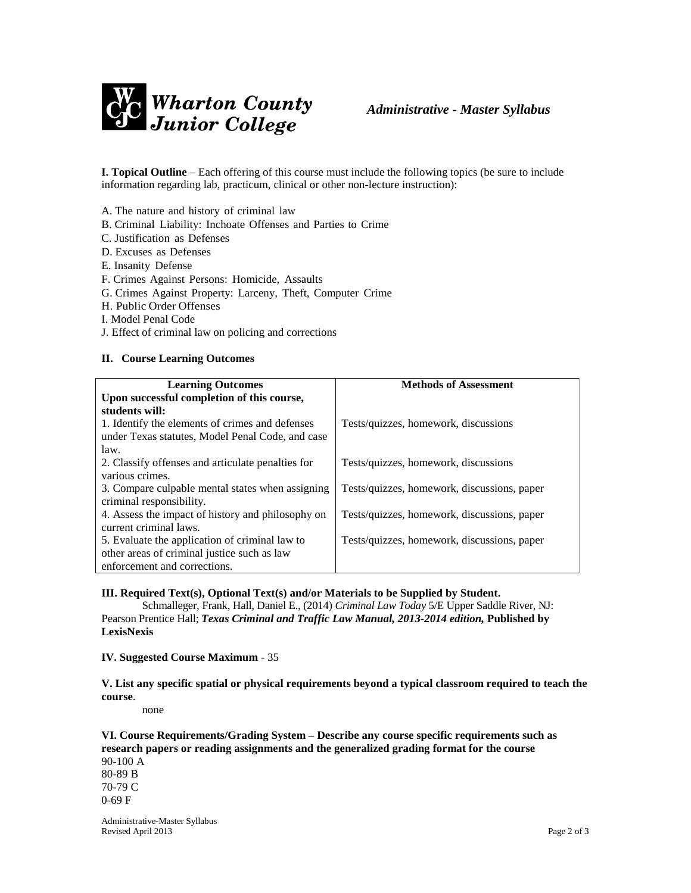

**I. Topical Outline** – Each offering of this course must include the following topics (be sure to include information regarding lab, practicum, clinical or other non-lecture instruction):

A. The nature and history of criminal law

- B. Criminal Liability: Inchoate Offenses and Parties to Crime
- C. Justification as Defenses
- D. Excuses as Defenses
- E. Insanity Defense
- F. Crimes Against Persons: Homicide, Assaults
- G. Crimes Against Property: Larceny, Theft, Computer Crime
- H. Public Order Offenses
- I. Model Penal Code
- J. Effect of criminal law on policing and corrections

#### **II. Course Learning Outcomes**

| <b>Learning Outcomes</b>                          | <b>Methods of Assessment</b>                |
|---------------------------------------------------|---------------------------------------------|
| Upon successful completion of this course,        |                                             |
| students will:                                    |                                             |
| 1. Identify the elements of crimes and defenses   | Tests/quizzes, homework, discussions        |
| under Texas statutes, Model Penal Code, and case  |                                             |
| law.                                              |                                             |
| 2. Classify offenses and articulate penalties for | Tests/quizzes, homework, discussions        |
| various crimes.                                   |                                             |
| 3. Compare culpable mental states when assigning  | Tests/quizzes, homework, discussions, paper |
| criminal responsibility.                          |                                             |
| 4. Assess the impact of history and philosophy on | Tests/quizzes, homework, discussions, paper |
| current criminal laws.                            |                                             |
| 5. Evaluate the application of criminal law to    | Tests/quizzes, homework, discussions, paper |
| other areas of criminal justice such as law       |                                             |
| enforcement and corrections.                      |                                             |

**III. Required Text(s), Optional Text(s) and/or Materials to be Supplied by Student.**

Schmalleger, Frank, Hall, Daniel E., (2014) *Criminal Law Today* 5/E Upper Saddle River, NJ: Pearson Prentice Hall; *Texas Criminal and Traffic Law Manual, 2013-2014 edition,* **Published by LexisNexis**

**IV. Suggested Course Maximum** - 35

**V. List any specific spatial or physical requirements beyond a typical classroom required to teach the course**.

none

**VI. Course Requirements/Grading System – Describe any course specific requirements such as research papers or reading assignments and the generalized grading format for the course** 90-100 A

80-89 B 70-79 C 0-69 F

Administrative-Master Syllabus Revised April 2013 Page 2 of 3